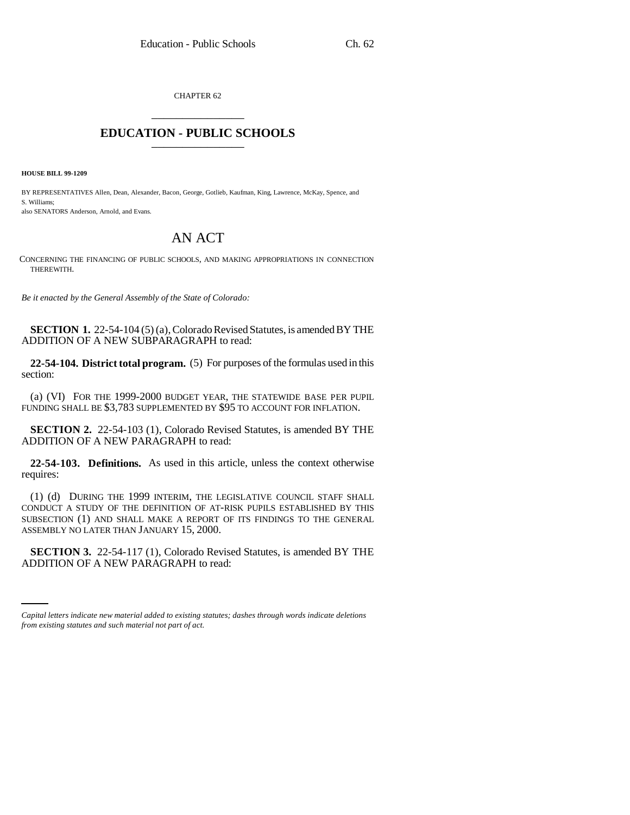CHAPTER 62 \_\_\_\_\_\_\_\_\_\_\_\_\_\_\_

## **EDUCATION - PUBLIC SCHOOLS** \_\_\_\_\_\_\_\_\_\_\_\_\_\_\_

**HOUSE BILL 99-1209** 

BY REPRESENTATIVES Allen, Dean, Alexander, Bacon, George, Gotlieb, Kaufman, King, Lawrence, McKay, Spence, and S. Williams;

also SENATORS Anderson, Arnold, and Evans.

## AN ACT

CONCERNING THE FINANCING OF PUBLIC SCHOOLS, AND MAKING APPROPRIATIONS IN CONNECTION THEREWITH.

*Be it enacted by the General Assembly of the State of Colorado:*

**SECTION 1.** 22-54-104 (5) (a), Colorado Revised Statutes, is amended BY THE ADDITION OF A NEW SUBPARAGRAPH to read:

**22-54-104. District total program.** (5) For purposes of the formulas used in this section:

(a) (VI) FOR THE 1999-2000 BUDGET YEAR, THE STATEWIDE BASE PER PUPIL FUNDING SHALL BE \$3,783 SUPPLEMENTED BY \$95 TO ACCOUNT FOR INFLATION.

**SECTION 2.** 22-54-103 (1), Colorado Revised Statutes, is amended BY THE ADDITION OF A NEW PARAGRAPH to read:

**22-54-103. Definitions.** As used in this article, unless the context otherwise requires:

(1) (d) DURING THE 1999 INTERIM, THE LEGISLATIVE COUNCIL STAFF SHALL CONDUCT A STUDY OF THE DEFINITION OF AT-RISK PUPILS ESTABLISHED BY THIS SUBSECTION (1) AND SHALL MAKE A REPORT OF ITS FINDINGS TO THE GENERAL ASSEMBLY NO LATER THAN JANUARY 15, 2000.

 **SECTION 3.** 22-54-117 (1), Colorado Revised Statutes, is amended BY THE ADDITION OF A NEW PARAGRAPH to read:

*Capital letters indicate new material added to existing statutes; dashes through words indicate deletions from existing statutes and such material not part of act.*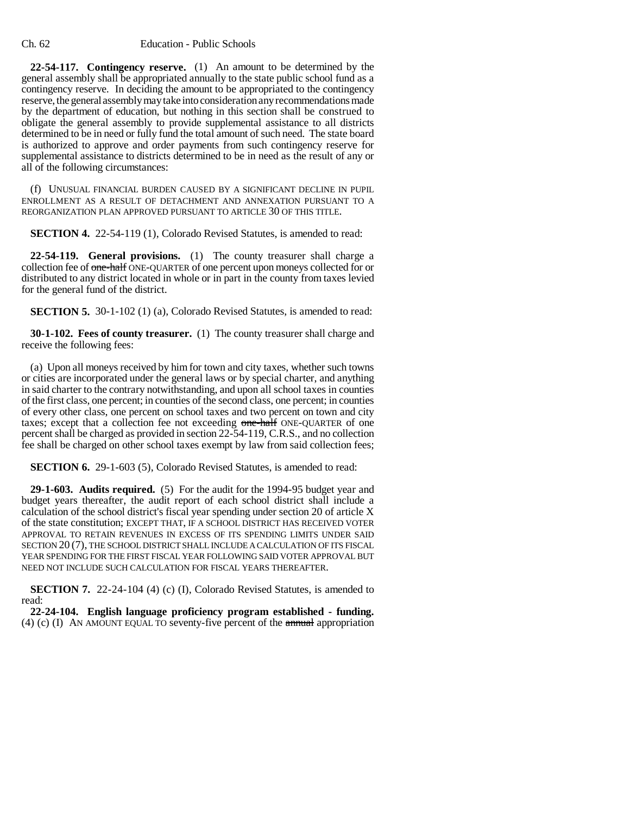**22-54-117. Contingency reserve.** (1) An amount to be determined by the general assembly shall be appropriated annually to the state public school fund as a contingency reserve. In deciding the amount to be appropriated to the contingency reserve, the general assembly may take into consideration any recommendations made by the department of education, but nothing in this section shall be construed to obligate the general assembly to provide supplemental assistance to all districts determined to be in need or fully fund the total amount of such need. The state board is authorized to approve and order payments from such contingency reserve for supplemental assistance to districts determined to be in need as the result of any or all of the following circumstances:

(f) UNUSUAL FINANCIAL BURDEN CAUSED BY A SIGNIFICANT DECLINE IN PUPIL ENROLLMENT AS A RESULT OF DETACHMENT AND ANNEXATION PURSUANT TO A REORGANIZATION PLAN APPROVED PURSUANT TO ARTICLE 30 OF THIS TITLE.

**SECTION 4.** 22-54-119 (1), Colorado Revised Statutes, is amended to read:

**22-54-119. General provisions.** (1) The county treasurer shall charge a collection fee of one-half ONE-QUARTER of one percent upon moneys collected for or distributed to any district located in whole or in part in the county from taxes levied for the general fund of the district.

**SECTION 5.** 30-1-102 (1) (a), Colorado Revised Statutes, is amended to read:

**30-1-102. Fees of county treasurer.** (1) The county treasurer shall charge and receive the following fees:

(a) Upon all moneys received by him for town and city taxes, whether such towns or cities are incorporated under the general laws or by special charter, and anything in said charter to the contrary notwithstanding, and upon all school taxes in counties of the first class, one percent; in counties of the second class, one percent; in counties of every other class, one percent on school taxes and two percent on town and city taxes; except that a collection fee not exceeding one-half ONE-QUARTER of one percent shall be charged as provided in section 22-54-119, C.R.S., and no collection fee shall be charged on other school taxes exempt by law from said collection fees;

**SECTION 6.** 29-1-603 (5), Colorado Revised Statutes, is amended to read:

**29-1-603. Audits required.** (5) For the audit for the 1994-95 budget year and budget years thereafter, the audit report of each school district shall include a calculation of the school district's fiscal year spending under section 20 of article X of the state constitution; EXCEPT THAT, IF A SCHOOL DISTRICT HAS RECEIVED VOTER APPROVAL TO RETAIN REVENUES IN EXCESS OF ITS SPENDING LIMITS UNDER SAID SECTION 20 (7), THE SCHOOL DISTRICT SHALL INCLUDE A CALCULATION OF ITS FISCAL YEAR SPENDING FOR THE FIRST FISCAL YEAR FOLLOWING SAID VOTER APPROVAL BUT NEED NOT INCLUDE SUCH CALCULATION FOR FISCAL YEARS THEREAFTER.

**SECTION 7.** 22-24-104 (4) (c) (I), Colorado Revised Statutes, is amended to read:

**22-24-104. English language proficiency program established - funding.** (4) (c) (I) AN AMOUNT EQUAL TO seventy-five percent of the  $\frac{1}{2}$  appropriation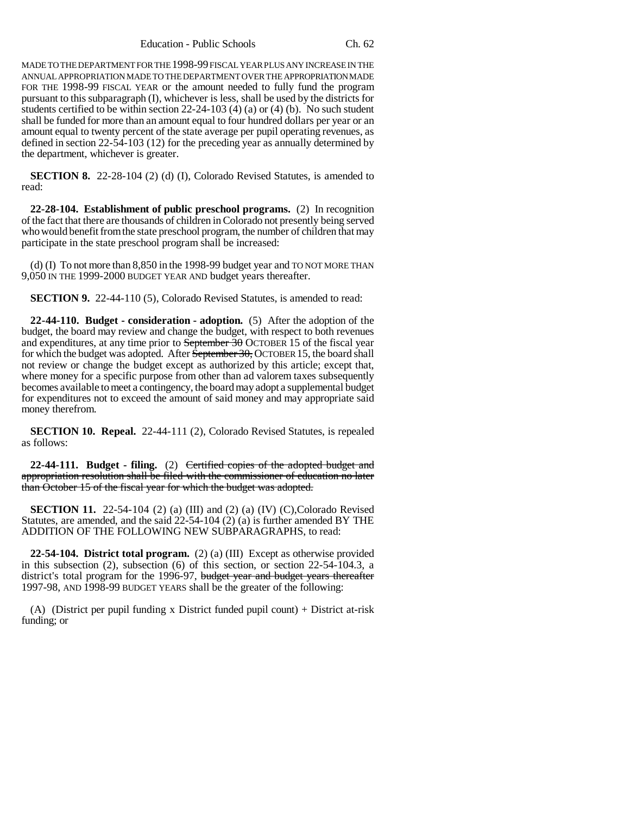Education - Public Schools Ch. 62

MADE TO THE DEPARTMENT FOR THE 1998-99 FISCAL YEAR PLUS ANY INCREASE IN THE ANNUAL APPROPRIATION MADE TO THE DEPARTMENT OVER THE APPROPRIATION MADE FOR THE 1998-99 FISCAL YEAR or the amount needed to fully fund the program pursuant to this subparagraph (I), whichever is less, shall be used by the districts for students certified to be within section 22-24-103 (4) (a) or (4) (b). No such student shall be funded for more than an amount equal to four hundred dollars per year or an amount equal to twenty percent of the state average per pupil operating revenues, as defined in section 22-54-103 (12) for the preceding year as annually determined by the department, whichever is greater.

**SECTION 8.** 22-28-104 (2) (d) (I), Colorado Revised Statutes, is amended to read:

**22-28-104. Establishment of public preschool programs.** (2) In recognition of the fact that there are thousands of children in Colorado not presently being served who would benefit from the state preschool program, the number of children that may participate in the state preschool program shall be increased:

(d) (I) To not more than 8,850 in the 1998-99 budget year and TO NOT MORE THAN 9,050 IN THE 1999-2000 BUDGET YEAR AND budget years thereafter.

**SECTION 9.** 22-44-110 (5), Colorado Revised Statutes, is amended to read:

**22-44-110. Budget - consideration - adoption.** (5) After the adoption of the budget, the board may review and change the budget, with respect to both revenues and expenditures, at any time prior to September 30 OCTOBER 15 of the fiscal year for which the budget was adopted. After September 30, OCTOBER 15, the board shall not review or change the budget except as authorized by this article; except that, where money for a specific purpose from other than ad valorem taxes subsequently becomes available to meet a contingency, the board may adopt a supplemental budget for expenditures not to exceed the amount of said money and may appropriate said money therefrom.

**SECTION 10. Repeal.** 22-44-111 (2), Colorado Revised Statutes, is repealed as follows:

**22-44-111. Budget - filing.** (2) Certified copies of the adopted budget and appropriation resolution shall be filed with the commissioner of education no later than October 15 of the fiscal year for which the budget was adopted.

**SECTION 11.** 22-54-104 (2) (a) (III) and (2) (a) (IV) (C), Colorado Revised Statutes, are amended, and the said 22-54-104 (2) (a) is further amended BY THE ADDITION OF THE FOLLOWING NEW SUBPARAGRAPHS, to read:

**22-54-104. District total program.** (2) (a) (III) Except as otherwise provided in this subsection (2), subsection (6) of this section, or section 22-54-104.3, a district's total program for the 1996-97, budget year and budget years thereafter 1997-98, AND 1998-99 BUDGET YEARS shall be the greater of the following:

(A) (District per pupil funding x District funded pupil count) + District at-risk funding; or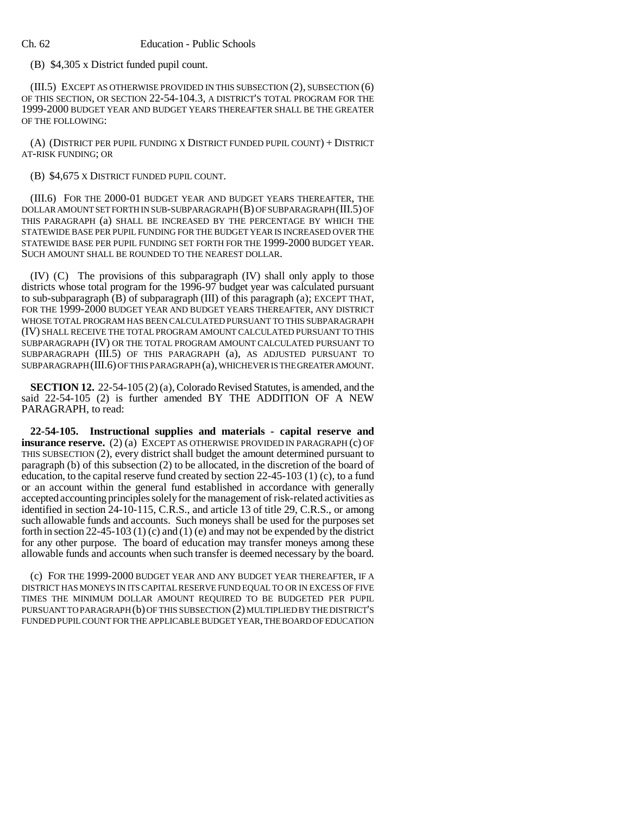(B) \$4,305 x District funded pupil count.

(III.5) EXCEPT AS OTHERWISE PROVIDED IN THIS SUBSECTION (2), SUBSECTION (6) OF THIS SECTION, OR SECTION 22-54-104.3, A DISTRICT'S TOTAL PROGRAM FOR THE 1999-2000 BUDGET YEAR AND BUDGET YEARS THEREAFTER SHALL BE THE GREATER OF THE FOLLOWING:

(A) (DISTRICT PER PUPIL FUNDING X DISTRICT FUNDED PUPIL COUNT) + DISTRICT AT-RISK FUNDING; OR

## (B) \$4,675 X DISTRICT FUNDED PUPIL COUNT.

(III.6) FOR THE 2000-01 BUDGET YEAR AND BUDGET YEARS THEREAFTER, THE DOLLAR AMOUNT SET FORTH IN SUB-SUBPARAGRAPH (B) OF SUBPARAGRAPH (III.5) OF THIS PARAGRAPH (a) SHALL BE INCREASED BY THE PERCENTAGE BY WHICH THE STATEWIDE BASE PER PUPIL FUNDING FOR THE BUDGET YEAR IS INCREASED OVER THE STATEWIDE BASE PER PUPIL FUNDING SET FORTH FOR THE 1999-2000 BUDGET YEAR. SUCH AMOUNT SHALL BE ROUNDED TO THE NEAREST DOLLAR.

(IV) (C) The provisions of this subparagraph (IV) shall only apply to those districts whose total program for the 1996-97 budget year was calculated pursuant to sub-subparagraph (B) of subparagraph (III) of this paragraph (a); EXCEPT THAT, FOR THE 1999-2000 BUDGET YEAR AND BUDGET YEARS THEREAFTER, ANY DISTRICT WHOSE TOTAL PROGRAM HAS BEEN CALCULATED PURSUANT TO THIS SUBPARAGRAPH (IV) SHALL RECEIVE THE TOTAL PROGRAM AMOUNT CALCULATED PURSUANT TO THIS SUBPARAGRAPH (IV) OR THE TOTAL PROGRAM AMOUNT CALCULATED PURSUANT TO SUBPARAGRAPH (III.5) OF THIS PARAGRAPH (a), AS ADJUSTED PURSUANT TO SUBPARAGRAPH (III.6) OF THIS PARAGRAPH (a), WHICHEVER IS THE GREATER AMOUNT.

**SECTION 12.** 22-54-105 (2) (a), Colorado Revised Statutes, is amended, and the said 22-54-105 (2) is further amended BY THE ADDITION OF A NEW PARAGRAPH, to read:

**22-54-105. Instructional supplies and materials - capital reserve and insurance reserve.** (2) (a) EXCEPT AS OTHERWISE PROVIDED IN PARAGRAPH (c) OF THIS SUBSECTION (2), every district shall budget the amount determined pursuant to paragraph (b) of this subsection (2) to be allocated, in the discretion of the board of education, to the capital reserve fund created by section 22-45-103 (1) (c), to a fund or an account within the general fund established in accordance with generally accepted accounting principles solely for the management of risk-related activities as identified in section 24-10-115, C.R.S., and article 13 of title 29, C.R.S., or among such allowable funds and accounts. Such moneys shall be used for the purposes set forth in section 22-45-103 (1) (c) and (1) (e) and may not be expended by the district for any other purpose. The board of education may transfer moneys among these allowable funds and accounts when such transfer is deemed necessary by the board.

(c) FOR THE 1999-2000 BUDGET YEAR AND ANY BUDGET YEAR THEREAFTER, IF A DISTRICT HAS MONEYS IN ITS CAPITAL RESERVE FUND EQUAL TO OR IN EXCESS OF FIVE TIMES THE MINIMUM DOLLAR AMOUNT REQUIRED TO BE BUDGETED PER PUPIL PURSUANT TO PARAGRAPH (b) OF THIS SUBSECTION (2) MULTIPLIED BY THE DISTRICT'S FUNDED PUPIL COUNT FOR THE APPLICABLE BUDGET YEAR, THE BOARD OF EDUCATION